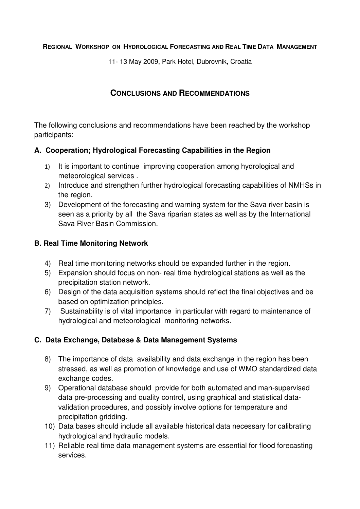#### **REGIONAL WORKSHOP ON HYDROLOGICAL FORECASTING AND REAL TIME DATA MANAGEMENT**

11- 13 May 2009, Park Hotel, Dubrovnik, Croatia

# **CONCLUSIONS AND RECOMMENDATIONS**

The following conclusions and recommendations have been reached by the workshop participants:

### **A. Cooperation; Hydrological Forecasting Capabilities in the Region**

- 1) It is important to continue improving cooperation among hydrological and meteorological services .
- 2) Introduce and strengthen further hydrological forecasting capabilities of NMHSs in the region.
- 3) Development of the forecasting and warning system for the Sava river basin is seen as a priority by all the Sava riparian states as well as by the International Sava River Basin Commission.

## **B. Real Time Monitoring Network**

- 4) Real time monitoring networks should be expanded further in the region.
- 5) Expansion should focus on non- real time hydrological stations as well as the precipitation station network.
- 6) Design of the data acquisition systems should reflect the final objectives and be based on optimization principles.
- 7) Sustainability is of vital importance in particular with regard to maintenance of hydrological and meteorological monitoring networks.

#### **C. Data Exchange, Database & Data Management Systems**

- 8) The importance of data availability and data exchange in the region has been stressed, as well as promotion of knowledge and use of WMO standardized data exchange codes.
- 9) Operational database should provide for both automated and man-supervised data pre-processing and quality control, using graphical and statistical datavalidation procedures, and possibly involve options for temperature and precipitation gridding.
- 10) Data bases should include all available historical data necessary for calibrating hydrological and hydraulic models.
- 11) Reliable real time data management systems are essential for flood forecasting services.